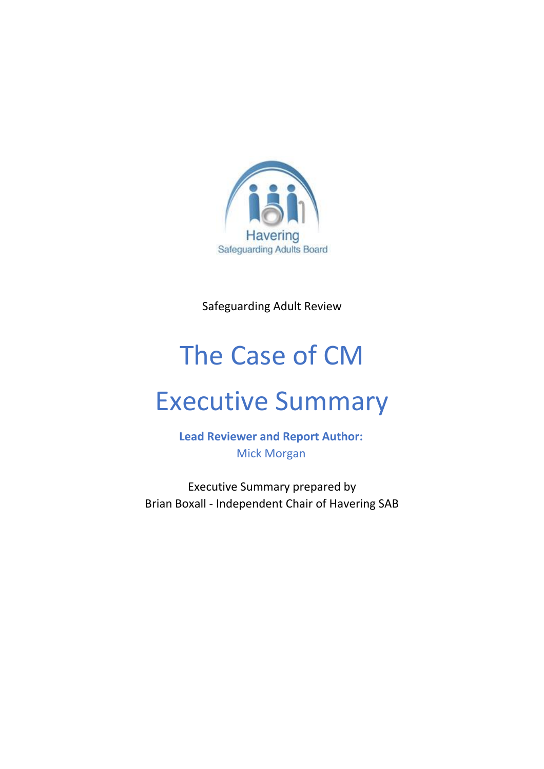

Safeguarding Adult Review

# The Case of CM

# Executive Summary

**Lead Reviewer and Report Author:** Mick Morgan

Executive Summary prepared by Brian Boxall - Independent Chair of Havering SAB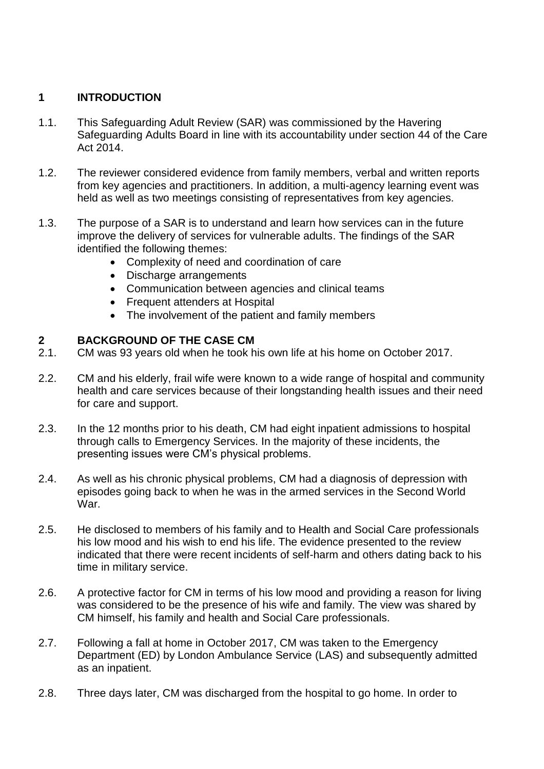# **1 INTRODUCTION**

- 1.1. This Safeguarding Adult Review (SAR) was commissioned by the Havering Safeguarding Adults Board in line with its accountability under section 44 of the Care Act 2014.
- 1.2. The reviewer considered evidence from family members, verbal and written reports from key agencies and practitioners. In addition, a multi-agency learning event was held as well as two meetings consisting of representatives from key agencies.
- 1.3. The purpose of a SAR is to understand and learn how services can in the future improve the delivery of services for vulnerable adults. The findings of the SAR identified the following themes:
	- Complexity of need and coordination of care
	- Discharge arrangements
	- Communication between agencies and clinical teams
	- Frequent attenders at Hospital
	- The involvement of the patient and family members

#### **2 BACKGROUND OF THE CASE CM**

- 2.1. CM was 93 years old when he took his own life at his home on October 2017.
- 2.2. CM and his elderly, frail wife were known to a wide range of hospital and community health and care services because of their longstanding health issues and their need for care and support.
- 2.3. In the 12 months prior to his death, CM had eight inpatient admissions to hospital through calls to Emergency Services. In the majority of these incidents, the presenting issues were CM's physical problems.
- 2.4. As well as his chronic physical problems, CM had a diagnosis of depression with episodes going back to when he was in the armed services in the Second World War.
- 2.5. He disclosed to members of his family and to Health and Social Care professionals his low mood and his wish to end his life. The evidence presented to the review indicated that there were recent incidents of self-harm and others dating back to his time in military service.
- 2.6. A protective factor for CM in terms of his low mood and providing a reason for living was considered to be the presence of his wife and family. The view was shared by CM himself, his family and health and Social Care professionals.
- 2.7. Following a fall at home in October 2017, CM was taken to the Emergency Department (ED) by London Ambulance Service (LAS) and subsequently admitted as an inpatient.
- 2.8. Three days later, CM was discharged from the hospital to go home. In order to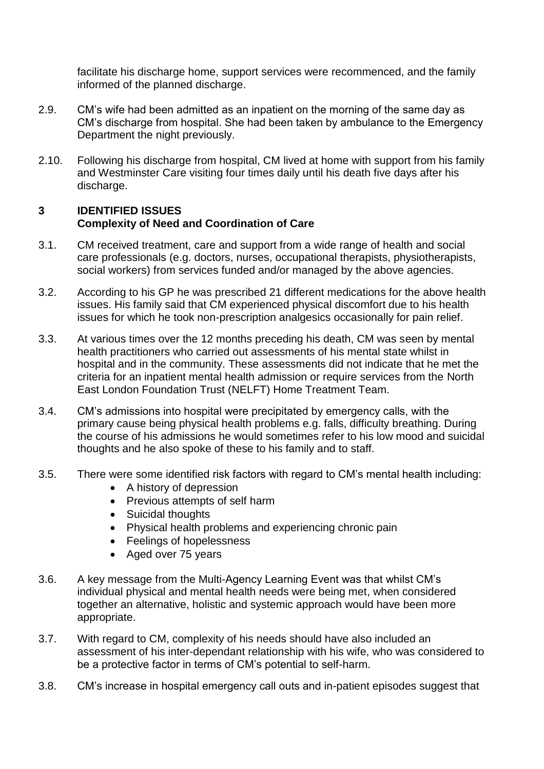facilitate his discharge home, support services were recommenced, and the family informed of the planned discharge.

- 2.9. CM's wife had been admitted as an inpatient on the morning of the same day as CM's discharge from hospital. She had been taken by ambulance to the Emergency Department the night previously.
- 2.10. Following his discharge from hospital, CM lived at home with support from his family and Westminster Care visiting four times daily until his death five days after his discharge.

# **3 IDENTIFIED ISSUES Complexity of Need and Coordination of Care**

- 3.1. CM received treatment, care and support from a wide range of health and social care professionals (e.g. doctors, nurses, occupational therapists, physiotherapists, social workers) from services funded and/or managed by the above agencies.
- 3.2. According to his GP he was prescribed 21 different medications for the above health issues. His family said that CM experienced physical discomfort due to his health issues for which he took non-prescription analgesics occasionally for pain relief.
- 3.3. At various times over the 12 months preceding his death, CM was seen by mental health practitioners who carried out assessments of his mental state whilst in hospital and in the community. These assessments did not indicate that he met the criteria for an inpatient mental health admission or require services from the North East London Foundation Trust (NELFT) Home Treatment Team.
- 3.4. CM's admissions into hospital were precipitated by emergency calls, with the primary cause being physical health problems e.g. falls, difficulty breathing. During the course of his admissions he would sometimes refer to his low mood and suicidal thoughts and he also spoke of these to his family and to staff.
- 3.5. There were some identified risk factors with regard to CM's mental health including:
	- A history of depression
	- Previous attempts of self harm
	- Suicidal thoughts
	- Physical health problems and experiencing chronic pain
	- Feelings of hopelessness
	- Aged over 75 years
- 3.6. A key message from the Multi-Agency Learning Event was that whilst CM's individual physical and mental health needs were being met, when considered together an alternative, holistic and systemic approach would have been more appropriate.
- 3.7. With regard to CM, complexity of his needs should have also included an assessment of his inter-dependant relationship with his wife, who was considered to be a protective factor in terms of CM's potential to self-harm.
- 3.8. CM's increase in hospital emergency call outs and in-patient episodes suggest that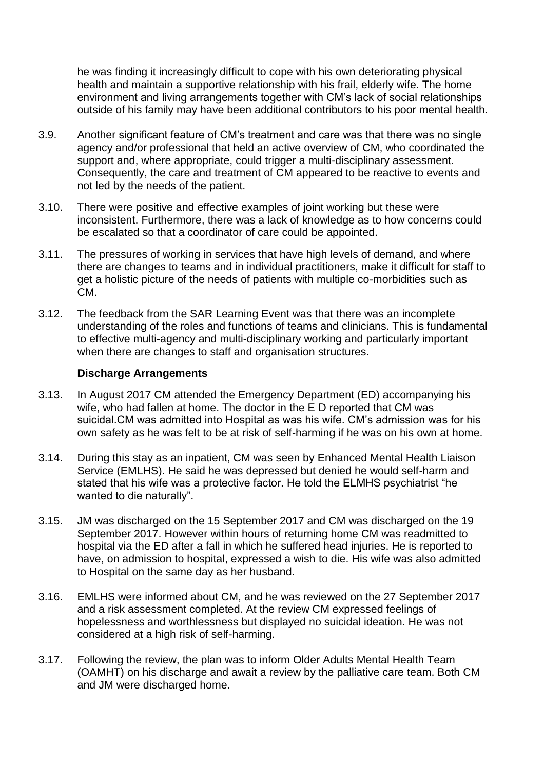he was finding it increasingly difficult to cope with his own deteriorating physical health and maintain a supportive relationship with his frail, elderly wife. The home environment and living arrangements together with CM's lack of social relationships outside of his family may have been additional contributors to his poor mental health.

- 3.9. Another significant feature of CM's treatment and care was that there was no single agency and/or professional that held an active overview of CM, who coordinated the support and, where appropriate, could trigger a multi-disciplinary assessment. Consequently, the care and treatment of CM appeared to be reactive to events and not led by the needs of the patient.
- 3.10. There were positive and effective examples of joint working but these were inconsistent. Furthermore, there was a lack of knowledge as to how concerns could be escalated so that a coordinator of care could be appointed.
- 3.11. The pressures of working in services that have high levels of demand, and where there are changes to teams and in individual practitioners, make it difficult for staff to get a holistic picture of the needs of patients with multiple co-morbidities such as CM.
- 3.12. The feedback from the SAR Learning Event was that there was an incomplete understanding of the roles and functions of teams and clinicians. This is fundamental to effective multi-agency and multi-disciplinary working and particularly important when there are changes to staff and organisation structures.

#### **Discharge Arrangements**

- 3.13. In August 2017 CM attended the Emergency Department (ED) accompanying his wife, who had fallen at home. The doctor in the E D reported that CM was suicidal.CM was admitted into Hospital as was his wife. CM's admission was for his own safety as he was felt to be at risk of self-harming if he was on his own at home.
- 3.14. During this stay as an inpatient, CM was seen by Enhanced Mental Health Liaison Service (EMLHS). He said he was depressed but denied he would self-harm and stated that his wife was a protective factor. He told the ELMHS psychiatrist "he wanted to die naturally".
- 3.15. JM was discharged on the 15 September 2017 and CM was discharged on the 19 September 2017. However within hours of returning home CM was readmitted to hospital via the ED after a fall in which he suffered head injuries. He is reported to have, on admission to hospital, expressed a wish to die. His wife was also admitted to Hospital on the same day as her husband.
- 3.16. EMLHS were informed about CM, and he was reviewed on the 27 September 2017 and a risk assessment completed. At the review CM expressed feelings of hopelessness and worthlessness but displayed no suicidal ideation. He was not considered at a high risk of self-harming.
- 3.17. Following the review, the plan was to inform Older Adults Mental Health Team (OAMHT) on his discharge and await a review by the palliative care team. Both CM and JM were discharged home.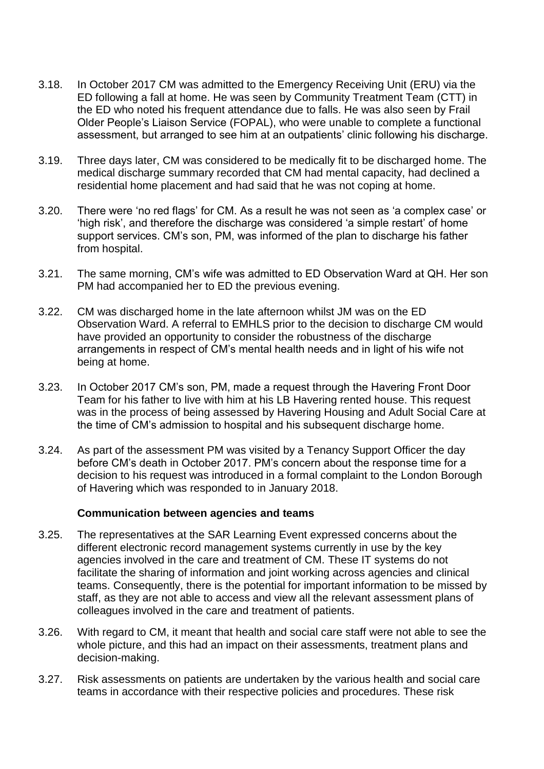- 3.18. In October 2017 CM was admitted to the Emergency Receiving Unit (ERU) via the ED following a fall at home. He was seen by Community Treatment Team (CTT) in the ED who noted his frequent attendance due to falls. He was also seen by Frail Older People's Liaison Service (FOPAL), who were unable to complete a functional assessment, but arranged to see him at an outpatients' clinic following his discharge.
- 3.19. Three days later, CM was considered to be medically fit to be discharged home. The medical discharge summary recorded that CM had mental capacity, had declined a residential home placement and had said that he was not coping at home.
- 3.20. There were 'no red flags' for CM. As a result he was not seen as 'a complex case' or 'high risk', and therefore the discharge was considered 'a simple restart' of home support services. CM's son, PM, was informed of the plan to discharge his father from hospital.
- 3.21. The same morning, CM's wife was admitted to ED Observation Ward at QH. Her son PM had accompanied her to ED the previous evening.
- 3.22. CM was discharged home in the late afternoon whilst JM was on the ED Observation Ward. A referral to EMHLS prior to the decision to discharge CM would have provided an opportunity to consider the robustness of the discharge arrangements in respect of CM's mental health needs and in light of his wife not being at home.
- 3.23. In October 2017 CM's son, PM, made a request through the Havering Front Door Team for his father to live with him at his LB Havering rented house. This request was in the process of being assessed by Havering Housing and Adult Social Care at the time of CM's admission to hospital and his subsequent discharge home.
- 3.24. As part of the assessment PM was visited by a Tenancy Support Officer the day before CM's death in October 2017. PM's concern about the response time for a decision to his request was introduced in a formal complaint to the London Borough of Havering which was responded to in January 2018.

#### **Communication between agencies and teams**

- 3.25. The representatives at the SAR Learning Event expressed concerns about the different electronic record management systems currently in use by the key agencies involved in the care and treatment of CM. These IT systems do not facilitate the sharing of information and joint working across agencies and clinical teams. Consequently, there is the potential for important information to be missed by staff, as they are not able to access and view all the relevant assessment plans of colleagues involved in the care and treatment of patients.
- 3.26. With regard to CM, it meant that health and social care staff were not able to see the whole picture, and this had an impact on their assessments, treatment plans and decision-making.
- 3.27. Risk assessments on patients are undertaken by the various health and social care teams in accordance with their respective policies and procedures. These risk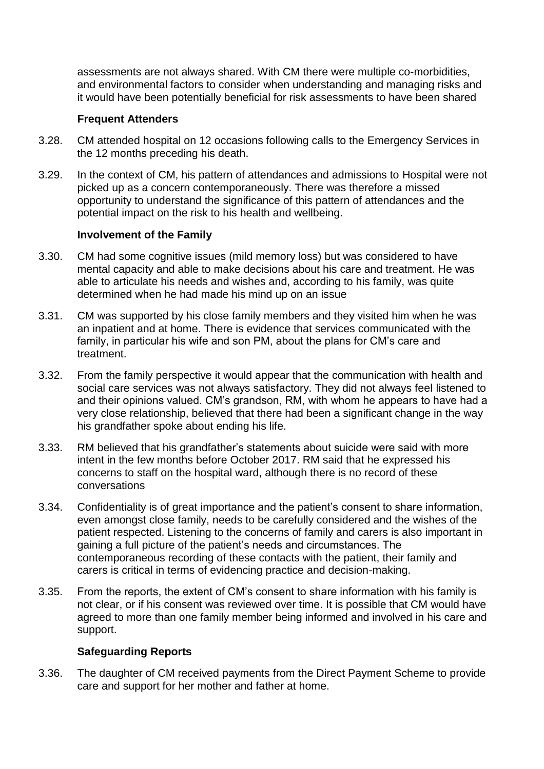assessments are not always shared. With CM there were multiple co-morbidities, and environmental factors to consider when understanding and managing risks and it would have been potentially beneficial for risk assessments to have been shared

# **Frequent Attenders**

- 3.28. CM attended hospital on 12 occasions following calls to the Emergency Services in the 12 months preceding his death.
- 3.29. In the context of CM, his pattern of attendances and admissions to Hospital were not picked up as a concern contemporaneously. There was therefore a missed opportunity to understand the significance of this pattern of attendances and the potential impact on the risk to his health and wellbeing.

#### **Involvement of the Family**

- 3.30. CM had some cognitive issues (mild memory loss) but was considered to have mental capacity and able to make decisions about his care and treatment. He was able to articulate his needs and wishes and, according to his family, was quite determined when he had made his mind up on an issue
- 3.31. CM was supported by his close family members and they visited him when he was an inpatient and at home. There is evidence that services communicated with the family, in particular his wife and son PM, about the plans for CM's care and treatment.
- 3.32. From the family perspective it would appear that the communication with health and social care services was not always satisfactory. They did not always feel listened to and their opinions valued. CM's grandson, RM, with whom he appears to have had a very close relationship, believed that there had been a significant change in the way his grandfather spoke about ending his life.
- 3.33. RM believed that his grandfather's statements about suicide were said with more intent in the few months before October 2017. RM said that he expressed his concerns to staff on the hospital ward, although there is no record of these conversations
- 3.34. Confidentiality is of great importance and the patient's consent to share information, even amongst close family, needs to be carefully considered and the wishes of the patient respected. Listening to the concerns of family and carers is also important in gaining a full picture of the patient's needs and circumstances. The contemporaneous recording of these contacts with the patient, their family and carers is critical in terms of evidencing practice and decision-making.
- 3.35. From the reports, the extent of CM's consent to share information with his family is not clear, or if his consent was reviewed over time. It is possible that CM would have agreed to more than one family member being informed and involved in his care and support.

# **Safeguarding Reports**

3.36. The daughter of CM received payments from the Direct Payment Scheme to provide care and support for her mother and father at home.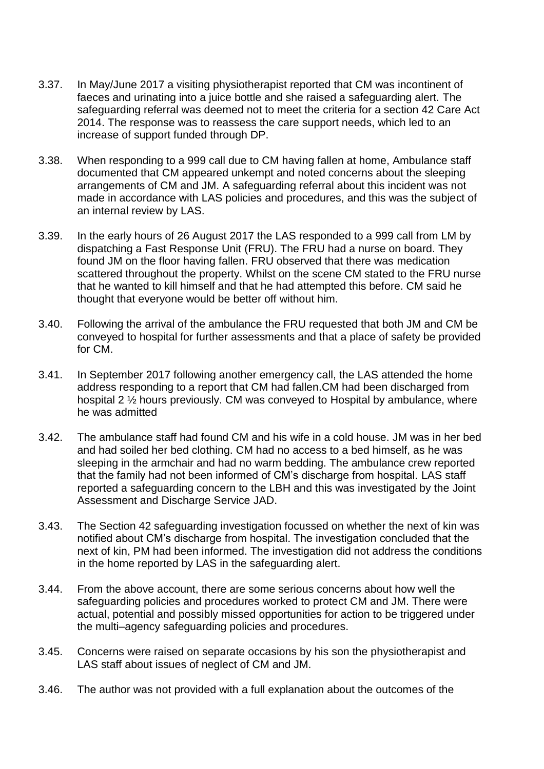- 3.37. In May/June 2017 a visiting physiotherapist reported that CM was incontinent of faeces and urinating into a juice bottle and she raised a safeguarding alert. The safeguarding referral was deemed not to meet the criteria for a section 42 Care Act 2014. The response was to reassess the care support needs, which led to an increase of support funded through DP.
- 3.38. When responding to a 999 call due to CM having fallen at home, Ambulance staff documented that CM appeared unkempt and noted concerns about the sleeping arrangements of CM and JM. A safeguarding referral about this incident was not made in accordance with LAS policies and procedures, and this was the subject of an internal review by LAS.
- 3.39. In the early hours of 26 August 2017 the LAS responded to a 999 call from LM by dispatching a Fast Response Unit (FRU). The FRU had a nurse on board. They found JM on the floor having fallen. FRU observed that there was medication scattered throughout the property. Whilst on the scene CM stated to the FRU nurse that he wanted to kill himself and that he had attempted this before. CM said he thought that everyone would be better off without him.
- 3.40. Following the arrival of the ambulance the FRU requested that both JM and CM be conveyed to hospital for further assessments and that a place of safety be provided for CM.
- 3.41. In September 2017 following another emergency call, the LAS attended the home address responding to a report that CM had fallen.CM had been discharged from hospital 2 ½ hours previously. CM was conveyed to Hospital by ambulance, where he was admitted
- 3.42. The ambulance staff had found CM and his wife in a cold house. JM was in her bed and had soiled her bed clothing. CM had no access to a bed himself, as he was sleeping in the armchair and had no warm bedding. The ambulance crew reported that the family had not been informed of CM's discharge from hospital. LAS staff reported a safeguarding concern to the LBH and this was investigated by the Joint Assessment and Discharge Service JAD.
- 3.43. The Section 42 safeguarding investigation focussed on whether the next of kin was notified about CM's discharge from hospital. The investigation concluded that the next of kin, PM had been informed. The investigation did not address the conditions in the home reported by LAS in the safeguarding alert.
- 3.44. From the above account, there are some serious concerns about how well the safeguarding policies and procedures worked to protect CM and JM. There were actual, potential and possibly missed opportunities for action to be triggered under the multi–agency safeguarding policies and procedures.
- 3.45. Concerns were raised on separate occasions by his son the physiotherapist and LAS staff about issues of neglect of CM and JM.
- 3.46. The author was not provided with a full explanation about the outcomes of the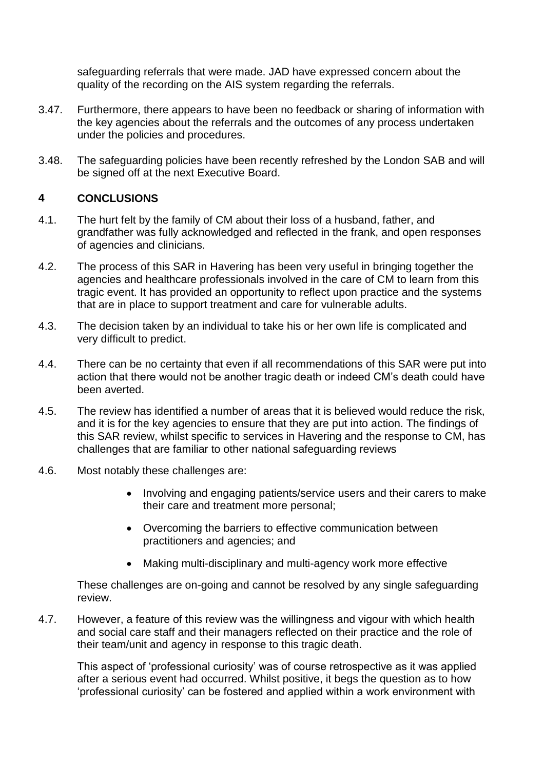safeguarding referrals that were made. JAD have expressed concern about the quality of the recording on the AIS system regarding the referrals.

- 3.47. Furthermore, there appears to have been no feedback or sharing of information with the key agencies about the referrals and the outcomes of any process undertaken under the policies and procedures.
- 3.48. The safeguarding policies have been recently refreshed by the London SAB and will be signed off at the next Executive Board.

# **4 CONCLUSIONS**

- 4.1. The hurt felt by the family of CM about their loss of a husband, father, and grandfather was fully acknowledged and reflected in the frank, and open responses of agencies and clinicians.
- 4.2. The process of this SAR in Havering has been very useful in bringing together the agencies and healthcare professionals involved in the care of CM to learn from this tragic event. It has provided an opportunity to reflect upon practice and the systems that are in place to support treatment and care for vulnerable adults.
- 4.3. The decision taken by an individual to take his or her own life is complicated and very difficult to predict.
- 4.4. There can be no certainty that even if all recommendations of this SAR were put into action that there would not be another tragic death or indeed CM's death could have been averted.
- 4.5. The review has identified a number of areas that it is believed would reduce the risk, and it is for the key agencies to ensure that they are put into action. The findings of this SAR review, whilst specific to services in Havering and the response to CM, has challenges that are familiar to other national safeguarding reviews
- 4.6. Most notably these challenges are:
	- Involving and engaging patients/service users and their carers to make their care and treatment more personal;
	- Overcoming the barriers to effective communication between practitioners and agencies; and
	- Making multi-disciplinary and multi-agency work more effective

These challenges are on-going and cannot be resolved by any single safeguarding review.

4.7. However, a feature of this review was the willingness and vigour with which health and social care staff and their managers reflected on their practice and the role of their team/unit and agency in response to this tragic death.

This aspect of 'professional curiosity' was of course retrospective as it was applied after a serious event had occurred. Whilst positive, it begs the question as to how 'professional curiosity' can be fostered and applied within a work environment with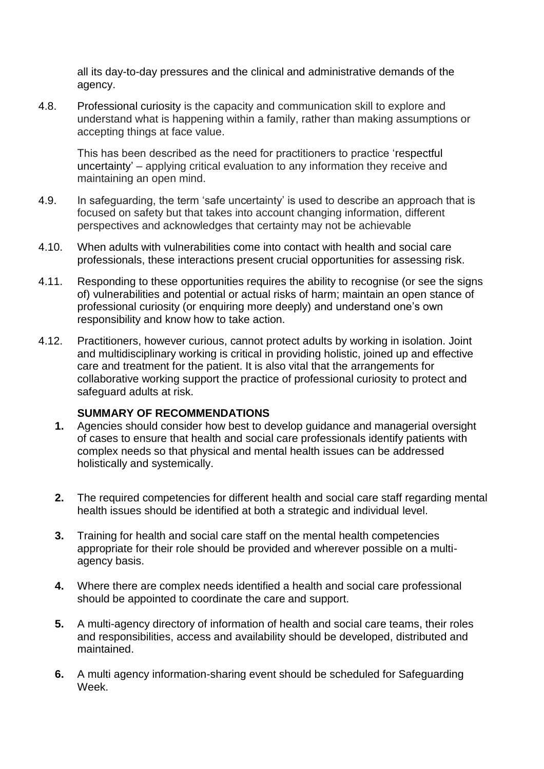all its day-to-day pressures and the clinical and administrative demands of the agency.

4.8. Professional curiosity is the capacity and communication skill to explore and understand what is happening within a family, rather than making assumptions or accepting things at face value.

This has been described as the need for practitioners to practice 'respectful uncertainty' – applying critical evaluation to any information they receive and maintaining an open mind.

- 4.9. In safeguarding, the term 'safe uncertainty' is used to describe an approach that is focused on safety but that takes into account changing information, different perspectives and acknowledges that certainty may not be achievable
- 4.10. When adults with vulnerabilities come into contact with health and social care professionals, these interactions present crucial opportunities for assessing risk.
- 4.11. Responding to these opportunities requires the ability to recognise (or see the signs of) vulnerabilities and potential or actual risks of harm; maintain an open stance of professional curiosity (or enquiring more deeply) and understand one's own responsibility and know how to take action.
- 4.12. Practitioners, however curious, cannot protect adults by working in isolation. Joint and multidisciplinary working is critical in providing holistic, joined up and effective care and treatment for the patient. It is also vital that the arrangements for collaborative working support the practice of professional curiosity to protect and safeguard adults at risk.

#### **SUMMARY OF RECOMMENDATIONS**

- **1.** Agencies should consider how best to develop guidance and managerial oversight of cases to ensure that health and social care professionals identify patients with complex needs so that physical and mental health issues can be addressed holistically and systemically.
- **2.** The required competencies for different health and social care staff regarding mental health issues should be identified at both a strategic and individual level.
- **3.** Training for health and social care staff on the mental health competencies appropriate for their role should be provided and wherever possible on a multiagency basis.
- **4.** Where there are complex needs identified a health and social care professional should be appointed to coordinate the care and support.
- **5.** A multi-agency directory of information of health and social care teams, their roles and responsibilities, access and availability should be developed, distributed and maintained.
- **6.** A multi agency information-sharing event should be scheduled for Safeguarding Week.